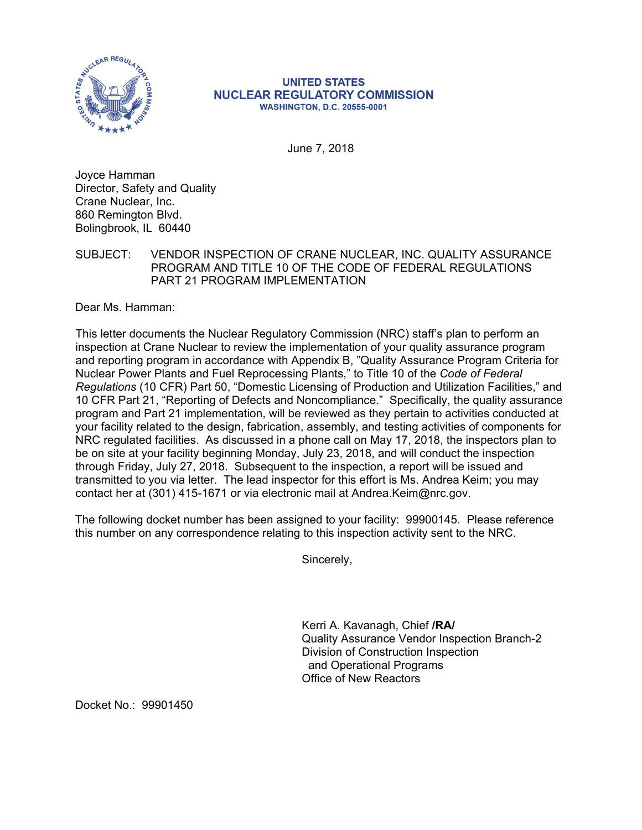

## **UNITED STATES NUCLEAR REGULATORY COMMISSION WASHINGTON, D.C. 20555-0001**

June 7, 2018

Joyce Hamman Director, Safety and Quality Crane Nuclear, Inc. 860 Remington Blvd. Bolingbrook, IL 60440

SUBJECT: VENDOR INSPECTION OF CRANE NUCLEAR, INC. QUALITY ASSURANCE PROGRAM AND TITLE 10 OF THE CODE OF FEDERAL REGULATIONS PART 21 PROGRAM IMPLEMENTATION

Dear Ms. Hamman:

This letter documents the Nuclear Regulatory Commission (NRC) staff's plan to perform an inspection at Crane Nuclear to review the implementation of your quality assurance program and reporting program in accordance with Appendix B, "Quality Assurance Program Criteria for Nuclear Power Plants and Fuel Reprocessing Plants," to Title 10 of the *Code of Federal Regulations* (10 CFR) Part 50, "Domestic Licensing of Production and Utilization Facilities," and 10 CFR Part 21, "Reporting of Defects and Noncompliance." Specifically, the quality assurance program and Part 21 implementation, will be reviewed as they pertain to activities conducted at your facility related to the design, fabrication, assembly, and testing activities of components for NRC regulated facilities. As discussed in a phone call on May 17, 2018, the inspectors plan to be on site at your facility beginning Monday, July 23, 2018, and will conduct the inspection through Friday, July 27, 2018. Subsequent to the inspection, a report will be issued and transmitted to you via letter. The lead inspector for this effort is Ms. Andrea Keim; you may contact her at (301) 415-1671 or via electronic mail at Andrea.Keim@nrc.gov.

The following docket number has been assigned to your facility: 99900145. Please reference this number on any correspondence relating to this inspection activity sent to the NRC.

Sincerely,

Kerri A. Kavanagh, Chief **/RA/**  Quality Assurance Vendor Inspection Branch-2 Division of Construction Inspection and Operational Programs Office of New Reactors

Docket No.: 99901450